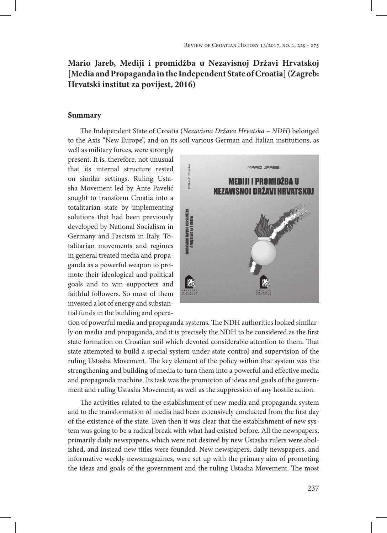## **Mario Jareb, Mediji i promidžba u Nezavisnoj Državi Hrvatskoj [Media and Propaganda in the Independent State of Croatia] (Zagreb: Hrvatski institut za povijest, 2016)**

## **Summary**

The Independent State of Croatia (*Nezavisna Država Hrvatska – NDH*) belonged to the Axis "New Europe", and on its soil various German and Italian institutions, as

well as military forces, were strongly present. It is, therefore, not unusual that its internal structure rested on similar settings. Ruling Ustasha Movement led by Ante Pavelić sought to transform Croatia into a totalitarian state by implementing solutions that had been previously developed by National Socialism in Germany and Fascism in Italy. Totalitarian movements and regimes in general treated media and propaganda as a powerful weapon to promote their ideological and political goals and to win supporters and faithful followers. So most of them invested a lot of energy and substantial funds in the building and opera-



tion of powerful media and propaganda systems. The NDH authorities looked similarly on media and propaganda, and it is precisely the NDH to be considered as the first state formation on Croatian soil which devoted considerable attention to them. That state attempted to build a special system under state control and supervision of the ruling Ustasha Movement. The key element of the policy within that system was the strengthening and building of media to turn them into a powerful and effective media and propaganda machine. Its task was the promotion of ideas and goals of the government and ruling Ustasha Movement, as well as the suppression of any hostile action.

The activities related to the establishment of new media and propaganda system and to the transformation of media had been extensively conducted from the first day of the existence of the state. Even then it was clear that the establishment of new system was going to be a radical break with what had existed before. All the newspapers, primarily daily newspapers, which were not desired by new Ustasha rulers were abolished, and instead new titles were founded. New newspapers, daily newspapers, and informative weekly newsmagazines, were set up with the primary aim of promoting the ideas and goals of the government and the ruling Ustasha Movement. The most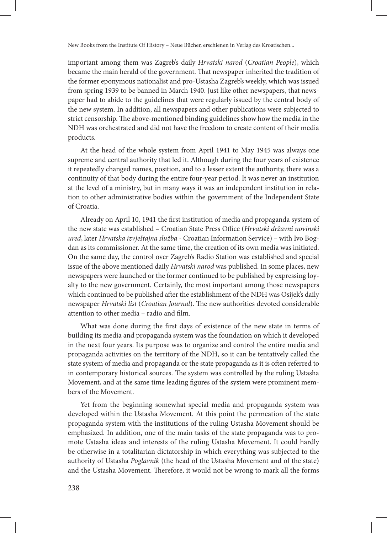important among them was Zagreb's daily *Hrvatski narod* (*Croatian People*), which became the main herald of the government. That newspaper inherited the tradition of the former eponymous nationalist and pro-Ustasha Zagreb's weekly, which was issued from spring 1939 to be banned in March 1940. Just like other newspapers, that newspaper had to abide to the guidelines that were regularly issued by the central body of the new system. In addition, all newspapers and other publications were subjected to strict censorship. The above-mentioned binding guidelines show how the media in the NDH was orchestrated and did not have the freedom to create content of their media products.

At the head of the whole system from April 1941 to May 1945 was always one supreme and central authority that led it. Although during the four years of existence it repeatedly changed names, position, and to a lesser extent the authority, there was a continuity of that body during the entire four-year period. It was never an institution at the level of a ministry, but in many ways it was an independent institution in relation to other administrative bodies within the government of the Independent State of Croatia.

Already on April 10, 1941 the first institution of media and propaganda system of the new state was established – Croatian State Press Office (*Hrvatski državni novinski ured*, later *Hrvatska izvještajna služba* - Croatian Information Service) – with Ivo Bogdan as its commissioner. At the same time, the creation of its own media was initiated. On the same day, the control over Zagreb's Radio Station was established and special issue of the above mentioned daily *Hrvatski narod* was published. In some places, new newspapers were launched or the former continued to be published by expressing loyalty to the new government. Certainly, the most important among those newspapers which continued to be published after the establishment of the NDH was Osijek's daily newspaper *Hrvatski list* (*Croatian Journal*). The new authorities devoted considerable attention to other media – radio and film.

What was done during the first days of existence of the new state in terms of building its media and propaganda system was the foundation on which it developed in the next four years. Its purpose was to organize and control the entire media and propaganda activities on the territory of the NDH, so it can be tentatively called the state system of media and propaganda or the state propaganda as it is often referred to in contemporary historical sources. The system was controlled by the ruling Ustasha Movement, and at the same time leading figures of the system were prominent members of the Movement.

Yet from the beginning somewhat special media and propaganda system was developed within the Ustasha Movement. At this point the permeation of the state propaganda system with the institutions of the ruling Ustasha Movement should be emphasized. In addition, one of the main tasks of the state propaganda was to promote Ustasha ideas and interests of the ruling Ustasha Movement. It could hardly be otherwise in a totalitarian dictatorship in which everything was subjected to the authority of Ustasha *Poglavnik* (the head of the Ustasha Movement and of the state) and the Ustasha Movement. Therefore, it would not be wrong to mark all the forms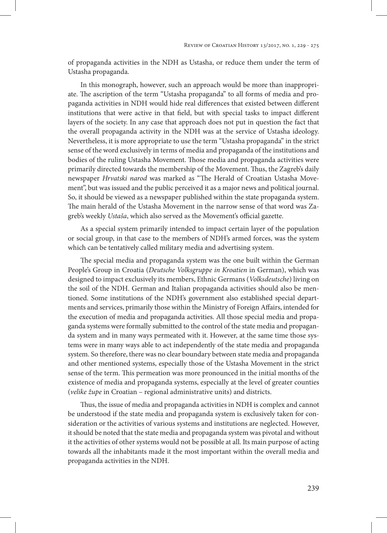of propaganda activities in the NDH as Ustasha, or reduce them under the term of Ustasha propaganda.

In this monograph, however, such an approach would be more than inappropriate. The ascription of the term "Ustasha propaganda" to all forms of media and propaganda activities in NDH would hide real differences that existed between different institutions that were active in that field, but with special tasks to impact different layers of the society. In any case that approach does not put in question the fact that the overall propaganda activity in the NDH was at the service of Ustasha ideology. Nevertheless, it is more appropriate to use the term "Ustasha propaganda" in the strict sense of the word exclusively in terms of media and propaganda of the institutions and bodies of the ruling Ustasha Movement. Those media and propaganda activities were primarily directed towards the membership of the Movement. Thus, the Zagreb's daily newspaper *Hrvatski narod* was marked as "The Herald of Croatian Ustasha Movement", but was issued and the public perceived it as a major news and political journal. So, it should be viewed as a newspaper published within the state propaganda system. The main herald of the Ustasha Movement in the narrow sense of that word was Zagreb's weekly *Ustaša*, which also served as the Movement's official gazette.

As a special system primarily intended to impact certain layer of the population or social group, in that case to the members of NDH's armed forces, was the system which can be tentatively called military media and advertising system.

The special media and propaganda system was the one built within the German People's Group in Croatia (*Deutsche Volksgruppe in Kroatien* in German), which was designed to impact exclusively its members, Ethnic Germans (*Volksdeutsche*) living on the soil of the NDH. German and Italian propaganda activities should also be mentioned. Some institutions of the NDH's government also established special departments and services, primarily those within the Ministry of Foreign Affairs, intended for the execution of media and propaganda activities. All those special media and propaganda systems were formally submitted to the control of the state media and propaganda system and in many ways permeated with it. However, at the same time those systems were in many ways able to act independently of the state media and propaganda system. So therefore, there was no clear boundary between state media and propaganda and other mentioned systems, especially those of the Ustasha Movement in the strict sense of the term. This permeation was more pronounced in the initial months of the existence of media and propaganda systems, especially at the level of greater counties (*velike župe* in Croatian – regional administrative units) and districts.

Thus, the issue of media and propaganda activities in NDH is complex and cannot be understood if the state media and propaganda system is exclusively taken for consideration or the activities of various systems and institutions are neglected. However, it should be noted that the state media and propaganda system was pivotal and without it the activities of other systems would not be possible at all. Its main purpose of acting towards all the inhabitants made it the most important within the overall media and propaganda activities in the NDH.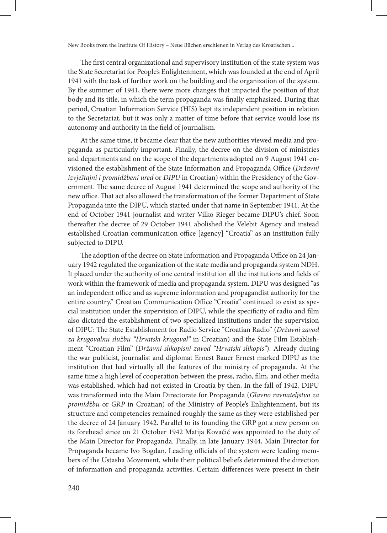The first central organizational and supervisory institution of the state system was the State Secretariat for People's Enlightenment, which was founded at the end of April 1941 with the task of further work on the building and the organization of the system. By the summer of 1941, there were more changes that impacted the position of that body and its title, in which the term propaganda was finally emphasized. During that period, Croatian Information Service (HIS) kept its independent position in relation to the Secretariat, but it was only a matter of time before that service would lose its autonomy and authority in the field of journalism.

At the same time, it became clear that the new authorities viewed media and propaganda as particularly important. Finally, the decree on the division of ministries and departments and on the scope of the departments adopted on 9 August 1941 envisioned the establishment of the State Information and Propaganda Office (*Državni izvještajni i promidžbeni ured* or *DIPU* in Croatian) within the Presidency of the Government. The same decree of August 1941 determined the scope and authority of the new office. That act also allowed the transformation of the former Department of State Propaganda into the DIPU, which started under that name in September 1941. At the end of October 1941 journalist and writer Vilko Rieger became DIPU's chief. Soon thereafter the decree of 29 October 1941 abolished the Velebit Agency and instead established Croatian communication office [agency] "Croatia" as an institution fully subjected to DIPU.

The adoption of the decree on State Information and Propaganda Office on 24 January 1942 regulated the organization of the state media and propaganda system NDH. It placed under the authority of one central institution all the institutions and fields of work within the framework of media and propaganda system. DIPU was designed "as an independent office and as supreme information and propagandist authority for the entire country." Croatian Communication Office "Croatia" continued to exist as special institution under the supervision of DIPU, while the specificity of radio and film also dictated the establishment of two specialized institutions under the supervision of DIPU: The State Establishment for Radio Service "Croatian Radio" (*Državni zavod za krugovalnu službu "Hrvatski krugoval"* in Croatian) and the State Film Establishment "Croatian Film" (*Državni slikopisni zavod "Hrvatski slikopis"*). Already during the war publicist, journalist and diplomat Ernest Bauer Ernest marked DIPU as the institution that had virtually all the features of the ministry of propaganda. At the same time a high level of cooperation between the press, radio, film, and other media was established, which had not existed in Croatia by then. In the fall of 1942, DIPU was transformed into the Main Directorate for Propaganda (*Glavno ravnateljstvo za promidžbu* or *GRP* in Croatian) of the Ministry of People's Enlightenment, but its structure and competencies remained roughly the same as they were established per the decree of 24 January 1942. Parallel to its founding the GRP got a new person on its forehead since on 21 October 1942 Matija Kovačić was appointed to the duty of the Main Director for Propaganda. Finally, in late January 1944, Main Director for Propaganda became Ivo Bogdan. Leading officials of the system were leading members of the Ustasha Movement, while their political beliefs determined the direction of information and propaganda activities. Certain differences were present in their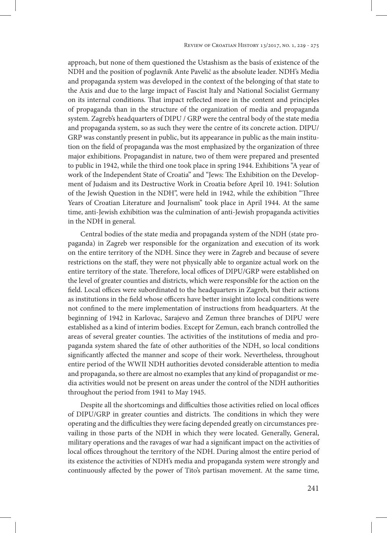approach, but none of them questioned the Ustashism as the basis of existence of the NDH and the position of poglavnik Ante Pavelić as the absolute leader. NDH's Media and propaganda system was developed in the context of the belonging of that state to the Axis and due to the large impact of Fascist Italy and National Socialist Germany on its internal conditions. That impact reflected more in the content and principles of propaganda than in the structure of the organization of media and propaganda system. Zagreb's headquarters of DIPU / GRP were the central body of the state media and propaganda system, so as such they were the centre of its concrete action. DIPU/ GRP was constantly present in public, but its appearance in public as the main institution on the field of propaganda was the most emphasized by the organization of three major exhibitions. Propagandist in nature, two of them were prepared and presented to public in 1942, while the third one took place in spring 1944. Exhibitions "A year of work of the Independent State of Croatia" and "Jews: The Exhibition on the Development of Judaism and its Destructive Work in Croatia before April 10. 1941: Solution of the Jewish Question in the NDH", were held in 1942, while the exhibition "Three Years of Croatian Literature and Journalism" took place in April 1944. At the same time, anti-Jewish exhibition was the culmination of anti-Jewish propaganda activities in the NDH in general.

Central bodies of the state media and propaganda system of the NDH (state propaganda) in Zagreb wer responsible for the organization and execution of its work on the entire territory of the NDH. Since they were in Zagreb and because of severe restrictions on the staff, they were not physically able to organize actual work on the entire territory of the state. Therefore, local offices of DIPU/GRP were established on the level of greater counties and districts, which were responsible for the action on the field. Local offices were subordinated to the headquarters in Zagreb, but their actions as institutions in the field whose officers have better insight into local conditions were not confined to the mere implementation of instructions from headquarters. At the beginning of 1942 in Karlovac, Sarajevo and Zemun three branches of DIPU were established as a kind of interim bodies. Except for Zemun, each branch controlled the areas of several greater counties. The activities of the institutions of media and propaganda system shared the fate of other authorities of the NDH, so local conditions significantly affected the manner and scope of their work. Nevertheless, throughout entire period of the WWII NDH authorities devoted considerable attention to media and propaganda, so there are almost no examples that any kind of propagandist or media activities would not be present on areas under the control of the NDH authorities throughout the period from 1941 to May 1945.

Despite all the shortcomings and difficulties those activities relied on local offices of DIPU/GRP in greater counties and districts. The conditions in which they were operating and the difficulties they were facing depended greatly on circumstances prevailing in those parts of the NDH in which they were located. Generally, General, military operations and the ravages of war had a significant impact on the activities of local offices throughout the territory of the NDH. During almost the entire period of its existence the activities of NDH's media and propaganda system were strongly and continuously affected by the power of Tito's partisan movement. At the same time,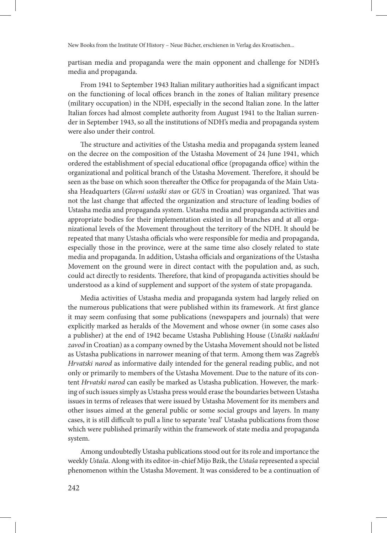partisan media and propaganda were the main opponent and challenge for NDH's media and propaganda.

From 1941 to September 1943 Italian military authorities had a significant impact on the functioning of local offices branch in the zones of Italian military presence (military occupation) in the NDH, especially in the second Italian zone. In the latter Italian forces had almost complete authority from August 1941 to the Italian surrender in September 1943, so all the institutions of NDH's media and propaganda system were also under their control.

The structure and activities of the Ustasha media and propaganda system leaned on the decree on the composition of the Ustasha Movement of 24 June 1941, which ordered the establishment of special educational office (propaganda office) within the organizational and political branch of the Ustasha Movement. Therefore, it should be seen as the base on which soon thereafter the Office for propaganda of the Main Ustasha Headquarters (*Glavni ustaški stan* or *GUS* in Croatian) was organized. That was not the last change that affected the organization and structure of leading bodies of Ustasha media and propaganda system. Ustasha media and propaganda activities and appropriate bodies for their implementation existed in all branches and at all organizational levels of the Movement throughout the territory of the NDH. It should be repeated that many Ustasha officials who were responsible for media and propaganda, especially those in the province, were at the same time also closely related to state media and propaganda. In addition, Ustasha officials and organizations of the Ustasha Movement on the ground were in direct contact with the population and, as such, could act directly to residents. Therefore, that kind of propaganda activities should be understood as a kind of supplement and support of the system of state propaganda.

Media activities of Ustasha media and propaganda system had largely relied on the numerous publications that were published within its framework. At first glance it may seem confusing that some publications (newspapers and journals) that were explicitly marked as heralds of the Movement and whose owner (in some cases also a publisher) at the end of 1942 became Ustasha Publishing House (*Ustaški nakladni zavod* in Croatian) as a company owned by the Ustasha Movement should not be listed as Ustasha publications in narrower meaning of that term. Among them was Zagreb's *Hrvatski narod* as informative daily intended for the general reading public, and not only or primarily to members of the Ustasha Movement. Due to the nature of its content *Hrvatski narod* can easily be marked as Ustasha publication. However, the marking of such issues simply as Ustasha press would erase the boundaries between Ustasha issues in terms of releases that were issued by Ustasha Movement for its members and other issues aimed at the general public or some social groups and layers. In many cases, it is still difficult to pull a line to separate 'real' Ustasha publications from those which were published primarily within the framework of state media and propaganda system.

Among undoubtedly Ustasha publications stood out for its role and importance the weekly *Ustaša*. Along with its editor-in-chief Mijo Bzik, the *Ustaša* represented a special phenomenon within the Ustasha Movement. It was considered to be a continuation of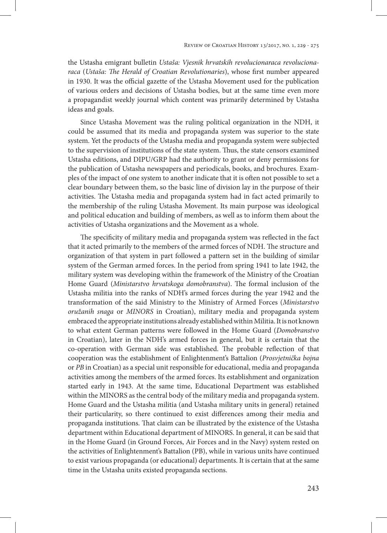the Ustasha emigrant bulletin *Ustaša: Vjesnik hrvatskih revolucionaraca revolucionaraca* (*Ustaša: The Herald of Croatian Revolutionaries*), whose first number appeared in 1930. It was the official gazette of the Ustasha Movement used for the publication of various orders and decisions of Ustasha bodies, but at the same time even more a propagandist weekly journal which content was primarily determined by Ustasha ideas and goals.

Since Ustasha Movement was the ruling political organization in the NDH, it could be assumed that its media and propaganda system was superior to the state system. Yet the products of the Ustasha media and propaganda system were subjected to the supervision of institutions of the state system. Thus, the state censors examined Ustasha editions, and DIPU/GRP had the authority to grant or deny permissions for the publication of Ustasha newspapers and periodicals, books, and brochures. Examples of the impact of one system to another indicate that it is often not possible to set a clear boundary between them, so the basic line of division lay in the purpose of their activities. The Ustasha media and propaganda system had in fact acted primarily to the membership of the ruling Ustasha Movement. Its main purpose was ideological and political education and building of members, as well as to inform them about the activities of Ustasha organizations and the Movement as a whole.

The specificity of military media and propaganda system was reflected in the fact that it acted primarily to the members of the armed forces of NDH. The structure and organization of that system in part followed a pattern set in the building of similar system of the German armed forces. In the period from spring 1941 to late 1942, the military system was developing within the framework of the Ministry of the Croatian Home Guard (*Ministarstvo hrvatskoga domobranstva*). The formal inclusion of the Ustasha militia into the ranks of NDH's armed forces during the year 1942 and the transformation of the said Ministry to the Ministry of Armed Forces (*Ministarstvo oružanih snaga* or *MINORS* in Croatian), military media and propaganda system embraced the appropriate institutions already established within Militia. It is not known to what extent German patterns were followed in the Home Guard (*Domobranstvo* in Croatian), later in the NDH's armed forces in general, but it is certain that the co-operation with German side was established. The probable reflection of that cooperation was the establishment of Enlightenment's Battalion (*Prosvjetnička bojna* or *PB* in Croatian) as a special unit responsible for educational, media and propaganda activities among the members of the armed forces. Its establishment and organization started early in 1943. At the same time, Educational Department was established within the MINORS as the central body of the military media and propaganda system. Home Guard and the Ustasha militia (and Ustasha military units in general) retained their particularity, so there continued to exist differences among their media and propaganda institutions. That claim can be illustrated by the existence of the Ustasha department within Educational department of MINORS. In general, it can be said that in the Home Guard (in Ground Forces, Air Forces and in the Navy) system rested on the activities of Enlightenment's Battalion (PB), while in various units have continued to exist various propaganda (or educational) departments. It is certain that at the same time in the Ustasha units existed propaganda sections.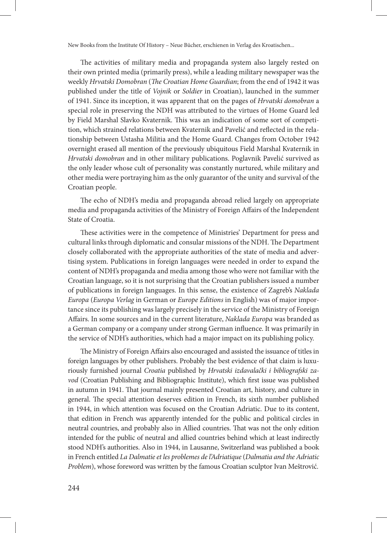The activities of military media and propaganda system also largely rested on their own printed media (primarily press), while a leading military newspaper was the weekly *Hrvatski Domobran* (*The Croatian Home Guardian*; from the end of 1942 it was published under the title of *Vojnik* or *Soldier* in Croatian), launched in the summer of 1941. Since its inception, it was apparent that on the pages of *Hrvatski domobran* a special role in preserving the NDH was attributed to the virtues of Home Guard led by Field Marshal Slavko Kvaternik. This was an indication of some sort of competition, which strained relations between Kvaternik and Pavelić and reflected in the relationship between Ustasha Militia and the Home Guard. Changes from October 1942 overnight erased all mention of the previously ubiquitous Field Marshal Kvaternik in *Hrvatski domobran* and in other military publications. Poglavnik Pavelić survived as the only leader whose cult of personality was constantly nurtured, while military and other media were portraying him as the only guarantor of the unity and survival of the Croatian people.

The echo of NDH's media and propaganda abroad relied largely on appropriate media and propaganda activities of the Ministry of Foreign Affairs of the Independent State of Croatia.

These activities were in the competence of Ministries' Department for press and cultural links through diplomatic and consular missions of the NDH. The Department closely collaborated with the appropriate authorities of the state of media and advertising system. Publications in foreign languages were needed in order to expand the content of NDH's propaganda and media among those who were not familiar with the Croatian language, so it is not surprising that the Croatian publishers issued a number of publications in foreign languages. In this sense, the existence of Zagreb's *Naklada Europa* (*Europa Verlag* in German or *Europe Editions* in English) was of major importance since its publishing was largely precisely in the service of the Ministry of Foreign Affairs. In some sources and in the current literature, *Naklada Europa* was branded as a German company or a company under strong German influence. It was primarily in the service of NDH's authorities, which had a major impact on its publishing policy.

The Ministry of Foreign Affairs also encouraged and assisted the issuance of titles in foreign languages by other publishers. Probably the best evidence of that claim is luxuriously furnished journal *Croatia* published by *Hrvatski izdavalački i bibliografski zavod* (Croatian Publishing and Bibliographic Institute), which first issue was published in autumn in 1941. That journal mainly presented Croatian art, history, and culture in general. The special attention deserves edition in French, its sixth number published in 1944, in which attention was focused on the Croatian Adriatic. Due to its content, that edition in French was apparently intended for the public and political circles in neutral countries, and probably also in Allied countries. That was not the only edition intended for the public of neutral and allied countries behind which at least indirectly stood NDH's authorities. Also in 1944, in Lausanne, Switzerland was published a book in French entitled *La Dalmatie et les problemes de l'Adriatique* (*Dalmatia and the Adriatic Problem*), whose foreword was written by the famous Croatian sculptor Ivan Meštrović.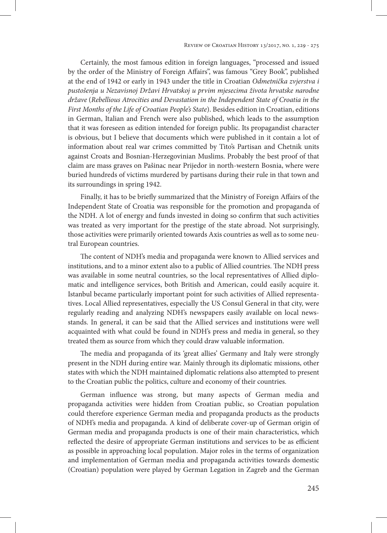Certainly, the most famous edition in foreign languages, "processed and issued by the order of the Ministry of Foreign Affairs", was famous "Grey Book", published at the end of 1942 or early in 1943 under the title in Croatian *Odmetnička zvjerstva i pustošenja u Nezavisnoj Državi Hrvatskoj u prvim mjesecima života hrvatske narodne države* (*Rebellious Atrocities and Devastation in the Independent State of Croatia in the First Months of the Life of Croatian People's State*). Besides edition in Croatian, editions in German, Italian and French were also published, which leads to the assumption that it was foreseen as edition intended for foreign public. Its propagandist character is obvious, but I believe that documents which were published in it contain a lot of information about real war crimes committed by Tito's Partisan and Chetnik units against Croats and Bosnian-Herzegovinian Muslims. Probably the best proof of that claim are mass graves on Pašinac near Prijedor in north-western Bosnia, where were buried hundreds of victims murdered by partisans during their rule in that town and its surroundings in spring 1942.

Finally, it has to be briefly summarized that the Ministry of Foreign Affairs of the Independent State of Croatia was responsible for the promotion and propaganda of the NDH. A lot of energy and funds invested in doing so confirm that such activities was treated as very important for the prestige of the state abroad. Not surprisingly, those activities were primarily oriented towards Axis countries as well as to some neutral European countries.

The content of NDH's media and propaganda were known to Allied services and institutions, and to a minor extent also to a public of Allied countries. The NDH press was available in some neutral countries, so the local representatives of Allied diplomatic and intelligence services, both British and American, could easily acquire it. Istanbul became particularly important point for such activities of Allied representatives. Local Allied representatives, especially the US Consul General in that city, were regularly reading and analyzing NDH's newspapers easily available on local newsstands. In general, it can be said that the Allied services and institutions were well acquainted with what could be found in NDH's press and media in general, so they treated them as source from which they could draw valuable information.

The media and propaganda of its 'great allies' Germany and Italy were strongly present in the NDH during entire war. Mainly through its diplomatic missions, other states with which the NDH maintained diplomatic relations also attempted to present to the Croatian public the politics, culture and economy of their countries.

German influence was strong, but many aspects of German media and propaganda activities were hidden from Croatian public, so Croatian population could therefore experience German media and propaganda products as the products of NDH's media and propaganda. A kind of deliberate cover-up of German origin of German media and propaganda products is one of their main characteristics, which reflected the desire of appropriate German institutions and services to be as efficient as possible in approaching local population. Major roles in the terms of organization and implementation of German media and propaganda activities towards domestic (Croatian) population were played by German Legation in Zagreb and the German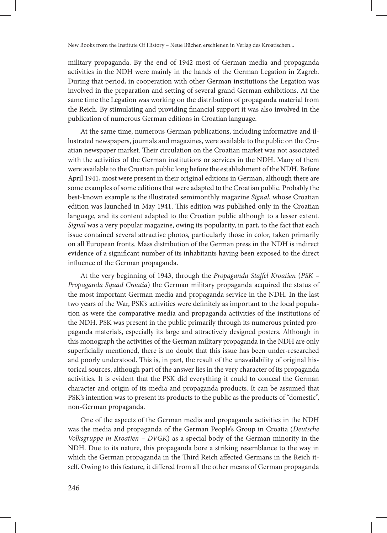military propaganda. By the end of 1942 most of German media and propaganda activities in the NDH were mainly in the hands of the German Legation in Zagreb. During that period, in cooperation with other German institutions the Legation was involved in the preparation and setting of several grand German exhibitions. At the same time the Legation was working on the distribution of propaganda material from the Reich. By stimulating and providing financial support it was also involved in the publication of numerous German editions in Croatian language.

At the same time, numerous German publications, including informative and illustrated newspapers, journals and magazines, were available to the public on the Croatian newspaper market. Their circulation on the Croatian market was not associated with the activities of the German institutions or services in the NDH. Many of them were available to the Croatian public long before the establishment of the NDH. Before April 1941, most were present in their original editions in German, although there are some examples of some editions that were adapted to the Croatian public. Probably the best-known example is the illustrated semimonthly magazine *Signal*, whose Croatian edition was launched in May 1941. This edition was published only in the Croatian language, and its content adapted to the Croatian public although to a lesser extent. *Signal* was a very popular magazine, owing its popularity, in part, to the fact that each issue contained several attractive photos, particularly those in color, taken primarily on all European fronts. Mass distribution of the German press in the NDH is indirect evidence of a significant number of its inhabitants having been exposed to the direct influence of the German propaganda.

At the very beginning of 1943, through the *Propaganda Staffel Kroatien* (*PSK – Propaganda Squad Croatia*) the German military propaganda acquired the status of the most important German media and propaganda service in the NDH. In the last two years of the War, PSK's activities were definitely as important to the local population as were the comparative media and propaganda activities of the institutions of the NDH. PSK was present in the public primarily through its numerous printed propaganda materials, especially its large and attractively designed posters. Although in this monograph the activities of the German military propaganda in the NDH are only superficially mentioned, there is no doubt that this issue has been under-researched and poorly understood. This is, in part, the result of the unavailability of original historical sources, although part of the answer lies in the very character of its propaganda activities. It is evident that the PSK did everything it could to conceal the German character and origin of its media and propaganda products. It can be assumed that PSK's intention was to present its products to the public as the products of "domestic", non-German propaganda.

One of the aspects of the German media and propaganda activities in the NDH was the media and propaganda of the German People's Group in Croatia (*Deutsche Volksgruppe in Kroatien – DVGK*) as a special body of the German minority in the NDH. Due to its nature, this propaganda bore a striking resemblance to the way in which the German propaganda in the Third Reich affected Germans in the Reich itself. Owing to this feature, it differed from all the other means of German propaganda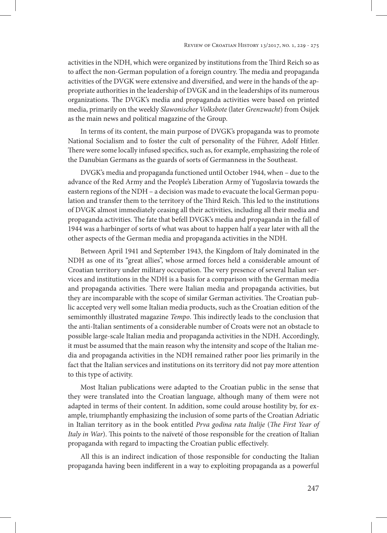activities in the NDH, which were organized by institutions from the Third Reich so as to affect the non-German population of a foreign country. The media and propaganda activities of the DVGK were extensive and diversified, and were in the hands of the appropriate authorities in the leadership of DVGK and in the leaderships of its numerous organizations. The DVGK's media and propaganda activities were based on printed media, primarily on the weekly *Slawonischer Volksbote* (later *Grenzwacht*) from Osijek as the main news and political magazine of the Group.

In terms of its content, the main purpose of DVGK's propaganda was to promote National Socialism and to foster the cult of personality of the Führer, Adolf Hitler. There were some locally infused specifics, such as, for example, emphasizing the role of the Danubian Germans as the guards of sorts of Germanness in the Southeast.

DVGK's media and propaganda functioned until October 1944, when – due to the advance of the Red Army and the People's Liberation Army of Yugoslavia towards the eastern regions of the NDH – a decision was made to evacuate the local German population and transfer them to the territory of the Third Reich. This led to the institutions of DVGK almost immediately ceasing all their activities, including all their media and propaganda activities. The fate that befell DVGK's media and propaganda in the fall of 1944 was a harbinger of sorts of what was about to happen half a year later with all the other aspects of the German media and propaganda activities in the NDH.

Between April 1941 and September 1943, the Kingdom of Italy dominated in the NDH as one of its "great allies", whose armed forces held a considerable amount of Croatian territory under military occupation. The very presence of several Italian services and institutions in the NDH is a basis for a comparison with the German media and propaganda activities. There were Italian media and propaganda activities, but they are incomparable with the scope of similar German activities. The Croatian public accepted very well some Italian media products, such as the Croatian edition of the semimonthly illustrated magazine *Tempo*. This indirectly leads to the conclusion that the anti-Italian sentiments of a considerable number of Croats were not an obstacle to possible large-scale Italian media and propaganda activities in the NDH. Accordingly, it must be assumed that the main reason why the intensity and scope of the Italian media and propaganda activities in the NDH remained rather poor lies primarily in the fact that the Italian services and institutions on its territory did not pay more attention to this type of activity.

Most Italian publications were adapted to the Croatian public in the sense that they were translated into the Croatian language, although many of them were not adapted in terms of their content. In addition, some could arouse hostility by, for example, triumphantly emphasizing the inclusion of some parts of the Croatian Adriatic in Italian territory as in the book entitled *Prva godina rata Italije* (*The First Year of Italy in War*). This points to the naïveté of those responsible for the creation of Italian propaganda with regard to impacting the Croatian public effectively.

All this is an indirect indication of those responsible for conducting the Italian propaganda having been indifferent in a way to exploiting propaganda as a powerful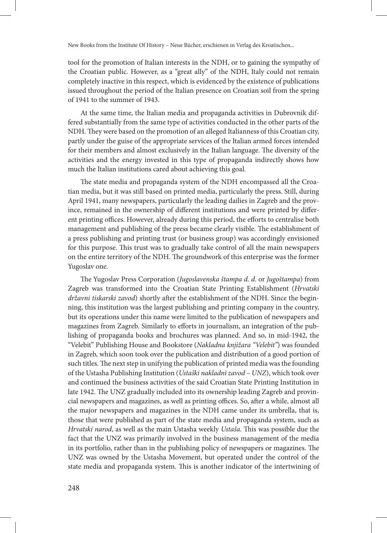tool for the promotion of Italian interests in the NDH, or to gaining the sympathy of the Croatian public. However, as a "great ally" of the NDH, Italy could not remain completely inactive in this respect, which is evidenced by the existence of publications issued throughout the period of the Italian presence on Croatian soil from the spring of 1941 to the summer of 1943.

At the same time, the Italian media and propaganda activities in Dubrovnik differed substantially from the same type of activities conducted in the other parts of the NDH. They were based on the promotion of an alleged Italianness of this Croatian city, partly under the guise of the appropriate services of the Italian armed forces intended for their members and almost exclusively in the Italian language. The diversity of the activities and the energy invested in this type of propaganda indirectly shows how much the Italian institutions cared about achieving this goal.

The state media and propaganda system of the NDH encompassed all the Croatian media, but it was still based on printed media, particularly the press. Still, during April 1941, many newspapers, particularly the leading dailies in Zagreb and the province, remained in the ownership of different institutions and were printed by different printing offices. However, already during this period, the efforts to centralise both management and publishing of the press became clearly visible. The establishment of a press publishing and printing trust (or business group) was accordingly envisioned for this purpose. This trust was to gradually take control of all the main newspapers on the entire territory of the NDH. The groundwork of this enterprise was the former Yugoslav one.

The Yugoslav Press Corporation (*Jugoslavenska štampa d. d.* or *Jugoštampa*) from Zagreb was transformed into the Croatian State Printing Establishment (*Hrvatski državni tiskarski zavod*) shortly after the establishment of the NDH. Since the beginning, this institution was the largest publishing and printing company in the country, but its operations under this name were limited to the publication of newspapers and magazines from Zagreb. Similarly to efforts in journalism, an integration of the publishing of propaganda books and brochures was planned. And so, in mid-1942, the "Velebit" Publishing House and Bookstore (*Nakladna knjižara "Velebit"*) was founded in Zagreb, which soon took over the publication and distribution of a good portion of such titles. The next step in unifying the publication of printed media was the founding of the Ustasha Publishing Institution (*Ustaški nakladni zavod – UNZ*), which took over and continued the business activities of the said Croatian State Printing Institution in late 1942. The UNZ gradually included into its ownership leading Zagreb and provincial newspapers and magazines, as well as printing offices. So, after a while, almost all the major newspapers and magazines in the NDH came under its umbrella, that is, those that were published as part of the state media and propaganda system, such as *Hrvatski narod*, as well as the main Ustasha weekly *Ustaša*. This was possible due the fact that the UNZ was primarily involved in the business management of the media in its portfolio, rather than in the publishing policy of newspapers or magazines. The UNZ was owned by the Ustasha Movement, but operated under the control of the state media and propaganda system. This is another indicator of the intertwining of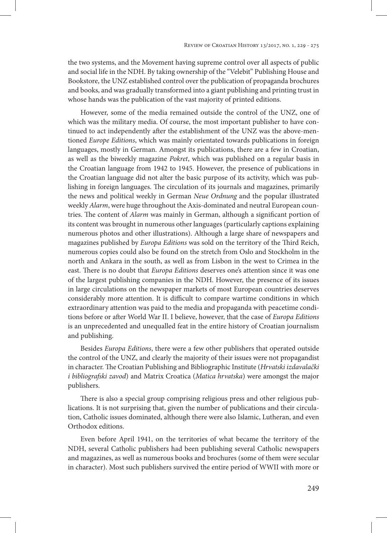the two systems, and the Movement having supreme control over all aspects of public and social life in the NDH. By taking ownership of the "Velebit" Publishing House and Bookstore, the UNZ established control over the publication of propaganda brochures and books, and was gradually transformed into a giant publishing and printing trust in whose hands was the publication of the vast majority of printed editions.

However, some of the media remained outside the control of the UNZ, one of which was the military media. Of course, the most important publisher to have continued to act independently after the establishment of the UNZ was the above-mentioned *Europe Editions*, which was mainly orientated towards publications in foreign languages, mostly in German. Amongst its publications, there are a few in Croatian, as well as the biweekly magazine *Pokret*, which was published on a regular basis in the Croatian language from 1942 to 1945. However, the presence of publications in the Croatian language did not alter the basic purpose of its activity, which was publishing in foreign languages. The circulation of its journals and magazines, primarily the news and political weekly in German *Neue Ordnung* and the popular illustrated weekly *Alarm*, were huge throughout the Axis-dominated and neutral European countries. The content of *Alarm* was mainly in German, although a significant portion of its content was brought in numerous other languages (particularly captions explaining numerous photos and other illustrations). Although a large share of newspapers and magazines published by *Europa Editions* was sold on the territory of the Third Reich, numerous copies could also be found on the stretch from Oslo and Stockholm in the north and Ankara in the south, as well as from Lisbon in the west to Crimea in the east. There is no doubt that *Europa Editions* deserves one's attention since it was one of the largest publishing companies in the NDH. However, the presence of its issues in large circulations on the newspaper markets of most European countries deserves considerably more attention. It is difficult to compare wartime conditions in which extraordinary attention was paid to the media and propaganda with peacetime conditions before or after World War II. I believe, however, that the case of *Europa Editions* is an unprecedented and unequalled feat in the entire history of Croatian journalism and publishing.

Besides *Europa Editions*, there were a few other publishers that operated outside the control of the UNZ, and clearly the majority of their issues were not propagandist in character. The Croatian Publishing and Bibliographic Institute (*Hrvatski izdavalački i bibliografski zavod*) and Matrix Croatica (*Matica hrvatska*) were amongst the major publishers.

There is also a special group comprising religious press and other religious publications. It is not surprising that, given the number of publications and their circulation, Catholic issues dominated, although there were also Islamic, Lutheran, and even Orthodox editions.

Even before April 1941, on the territories of what became the territory of the NDH, several Catholic publishers had been publishing several Catholic newspapers and magazines, as well as numerous books and brochures (some of them were secular in character). Most such publishers survived the entire period of WWII with more or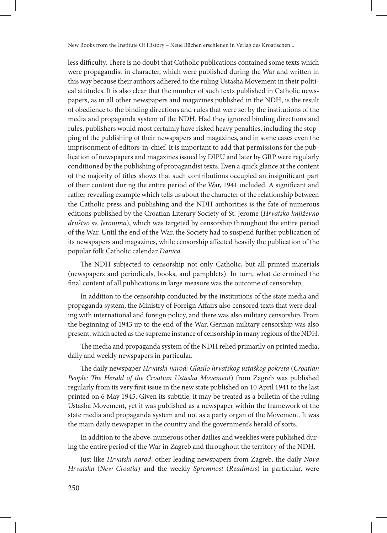less difficulty. There is no doubt that Catholic publications contained some texts which were propagandist in character, which were published during the War and written in this way because their authors adhered to the ruling Ustasha Movement in their political attitudes. It is also clear that the number of such texts published in Catholic newspapers, as in all other newspapers and magazines published in the NDH, is the result of obedience to the binding directions and rules that were set by the institutions of the media and propaganda system of the NDH. Had they ignored binding directions and rules, publishers would most certainly have risked heavy penalties, including the stopping of the publishing of their newspapers and magazines, and in some cases even the imprisonment of editors-in-chief. It is important to add that permissions for the publication of newspapers and magazines issued by DIPU and later by GRP were regularly conditioned by the publishing of propagandist texts. Even a quick glance at the content of the majority of titles shows that such contributions occupied an insignificant part of their content during the entire period of the War, 1941 included. A significant and rather revealing example which tells us about the character of the relationship between the Catholic press and publishing and the NDH authorities is the fate of numerous editions published by the Croatian Literary Society of St. Jerome (*Hrvatsko književno društvo sv. Jeronima*), which was targeted by censorship throughout the entire period of the War. Until the end of the War, the Society had to suspend further publication of its newspapers and magazines, while censorship affected heavily the publication of the popular folk Catholic calendar *Danica*.

The NDH subjected to censorship not only Catholic, but all printed materials (newspapers and periodicals, books, and pamphlets). In turn, what determined the final content of all publications in large measure was the outcome of censorship.

In addition to the censorship conducted by the institutions of the state media and propaganda system, the Ministry of Foreign Affairs also censored texts that were dealing with international and foreign policy, and there was also military censorship. From the beginning of 1943 up to the end of the War, German military censorship was also present, which acted as the supreme instance of censorship in many regions of the NDH.

The media and propaganda system of the NDH relied primarily on printed media, daily and weekly newspapers in particular.

The daily newspaper *Hrvatski narod: Glasilo hrvatskog ustaškog pokreta* (*Croatian People: The Herald of the Croatian Ustasha Movement*) from Zagreb was published regularly from its very first issue in the new state published on 10 April 1941 to the last printed on 6 May 1945. Given its subtitle, it may be treated as a bulletin of the ruling Ustasha Movement, yet it was published as a newspaper within the framework of the state media and propaganda system and not as a party organ of the Movement. It was the main daily newspaper in the country and the government's herald of sorts.

In addition to the above, numerous other dailies and weeklies were published during the entire period of the War in Zagreb and throughout the territory of the NDH.

Just like *Hrvatski narod*, other leading newspapers from Zagreb, the daily *Nova Hrvatska* (*New Croatia*) and the weekly *Spremnost* (*Readiness*) in particular, were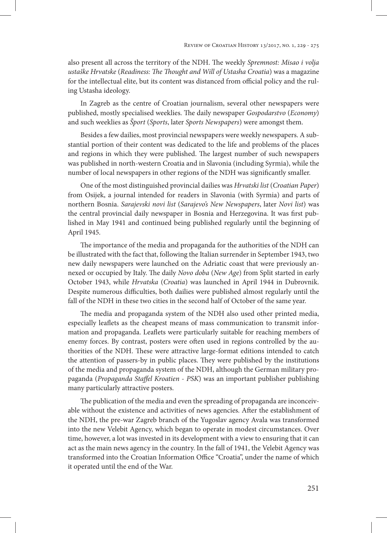also present all across the territory of the NDH. The weekly *Spremnost: Misao i volja ustaške Hrvatske* (*Readiness: The Thought and Will of Ustasha Croatia*) was a magazine for the intellectual elite, but its content was distanced from official policy and the ruling Ustasha ideology.

In Zagreb as the centre of Croatian journalism, several other newspapers were published, mostly specialised weeklies. The daily newspaper *Gospodarstvo* (*Economy*) and such weeklies as *Šport* (*Sports*, later *Sports Newspapers*) were amongst them.

Besides a few dailies, most provincial newspapers were weekly newspapers. A substantial portion of their content was dedicated to the life and problems of the places and regions in which they were published. The largest number of such newspapers was published in north-western Croatia and in Slavonia (including Syrmia), while the number of local newspapers in other regions of the NDH was significantly smaller.

One of the most distinguished provincial dailies was *Hrvatski list* (*Croatian Paper*) from Osijek, a journal intended for readers in Slavonia (with Syrmia) and parts of northern Bosnia. *Sarajevski novi list* (*Sarajevo's New Newspapers*, later *Novi list*) was the central provincial daily newspaper in Bosnia and Herzegovina. It was first published in May 1941 and continued being published regularly until the beginning of April 1945.

The importance of the media and propaganda for the authorities of the NDH can be illustrated with the fact that, following the Italian surrender in September 1943, two new daily newspapers were launched on the Adriatic coast that were previously annexed or occupied by Italy. The daily *Novo doba* (*New Age*) from Split started in early October 1943, while *Hrvatska* (*Croatia*) was launched in April 1944 in Dubrovnik. Despite numerous difficulties, both dailies were published almost regularly until the fall of the NDH in these two cities in the second half of October of the same year.

The media and propaganda system of the NDH also used other printed media, especially leaflets as the cheapest means of mass communication to transmit information and propaganda. Leaflets were particularly suitable for reaching members of enemy forces. By contrast, posters were often used in regions controlled by the authorities of the NDH. These were attractive large-format editions intended to catch the attention of passers-by in public places. They were published by the institutions of the media and propaganda system of the NDH, although the German military propaganda (*Propaganda Staffel Kroatien* - *PSK*) was an important publisher publishing many particularly attractive posters.

The publication of the media and even the spreading of propaganda are inconceivable without the existence and activities of news agencies. After the establishment of the NDH, the pre-war Zagreb branch of the Yugoslav agency Avala was transformed into the new Velebit Agency, which began to operate in modest circumstances. Over time, however, a lot was invested in its development with a view to ensuring that it can act as the main news agency in the country. In the fall of 1941, the Velebit Agency was transformed into the Croatian Information Office "Croatia", under the name of which it operated until the end of the War.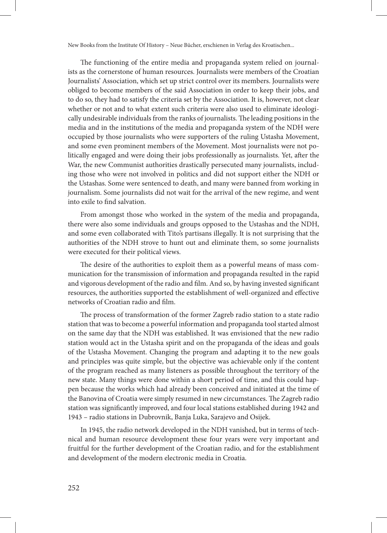The functioning of the entire media and propaganda system relied on journalists as the cornerstone of human resources. Journalists were members of the Croatian Journalists' Association, which set up strict control over its members. Journalists were obliged to become members of the said Association in order to keep their jobs, and to do so, they had to satisfy the criteria set by the Association. It is, however, not clear whether or not and to what extent such criteria were also used to eliminate ideologically undesirable individuals from the ranks of journalists. The leading positions in the media and in the institutions of the media and propaganda system of the NDH were occupied by those journalists who were supporters of the ruling Ustasha Movement, and some even prominent members of the Movement. Most journalists were not politically engaged and were doing their jobs professionally as journalists. Yet, after the War, the new Communist authorities drastically persecuted many journalists, including those who were not involved in politics and did not support either the NDH or the Ustashas. Some were sentenced to death, and many were banned from working in journalism. Some journalists did not wait for the arrival of the new regime, and went into exile to find salvation.

From amongst those who worked in the system of the media and propaganda, there were also some individuals and groups opposed to the Ustashas and the NDH, and some even collaborated with Tito's partisans illegally. It is not surprising that the authorities of the NDH strove to hunt out and eliminate them, so some journalists were executed for their political views.

The desire of the authorities to exploit them as a powerful means of mass communication for the transmission of information and propaganda resulted in the rapid and vigorous development of the radio and film. And so, by having invested significant resources, the authorities supported the establishment of well-organized and effective networks of Croatian radio and film.

The process of transformation of the former Zagreb radio station to a state radio station that was to become a powerful information and propaganda tool started almost on the same day that the NDH was established. It was envisioned that the new radio station would act in the Ustasha spirit and on the propaganda of the ideas and goals of the Ustasha Movement. Changing the program and adapting it to the new goals and principles was quite simple, but the objective was achievable only if the content of the program reached as many listeners as possible throughout the territory of the new state. Many things were done within a short period of time, and this could happen because the works which had already been conceived and initiated at the time of the Banovina of Croatia were simply resumed in new circumstances. The Zagreb radio station was significantly improved, and four local stations established during 1942 and 1943 – radio stations in Dubrovnik, Banja Luka, Sarajevo and Osijek.

In 1945, the radio network developed in the NDH vanished, but in terms of technical and human resource development these four years were very important and fruitful for the further development of the Croatian radio, and for the establishment and development of the modern electronic media in Croatia.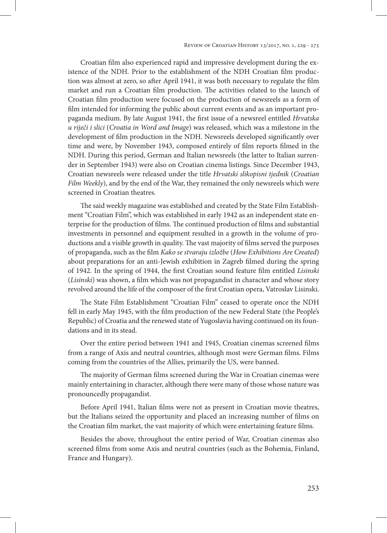Croatian film also experienced rapid and impressive development during the existence of the NDH. Prior to the establishment of the NDH Croatian film production was almost at zero, so after April 1941, it was both necessary to regulate the film market and run a Croatian film production. The activities related to the launch of Croatian film production were focused on the production of newsreels as a form of film intended for informing the public about current events and as an important propaganda medium. By late August 1941, the first issue of a newsreel entitled *Hrvatska u riječi i slici* (*Croatia in Word and Image*) was released, which was a milestone in the development of film production in the NDH. Newsreels developed significantly over time and were, by November 1943, composed entirely of film reports filmed in the NDH. During this period, German and Italian newsreels (the latter to Italian surrender in September 1943) were also on Croatian cinema listings. Since December 1943, Croatian newsreels were released under the title *Hrvatski slikopisni tjednik* (*Croatian Film Weekly*), and by the end of the War, they remained the only newsreels which were screened in Croatian theatres.

The said weekly magazine was established and created by the State Film Establishment "Croatian Film", which was established in early 1942 as an independent state enterprise for the production of films. The continued production of films and substantial investments in personnel and equipment resulted in a growth in the volume of productions and a visible growth in quality. The vast majority of films served the purposes of propaganda, such as the film *Kako se stvaraju izložbe* (*How Exhibitions Are Created*) about preparations for an anti-Jewish exhibition in Zagreb filmed during the spring of 1942. In the spring of 1944, the first Croatian sound feature film entitled *Lisinski* (*Lisinski*) was shown, a film which was not propagandist in character and whose story revolved around the life of the composer of the first Croatian opera, Vatroslav Lisinski.

The State Film Establishment "Croatian Film" ceased to operate once the NDH fell in early May 1945, with the film production of the new Federal State (the People's Republic) of Croatia and the renewed state of Yugoslavia having continued on its foundations and in its stead.

Over the entire period between 1941 and 1945, Croatian cinemas screened films from a range of Axis and neutral countries, although most were German films. Films coming from the countries of the Allies, primarily the US, were banned.

The majority of German films screened during the War in Croatian cinemas were mainly entertaining in character, although there were many of those whose nature was pronouncedly propagandist.

Before April 1941, Italian films were not as present in Croatian movie theatres, but the Italians seized the opportunity and placed an increasing number of films on the Croatian film market, the vast majority of which were entertaining feature films.

Besides the above, throughout the entire period of War, Croatian cinemas also screened films from some Axis and neutral countries (such as the Bohemia, Finland, France and Hungary).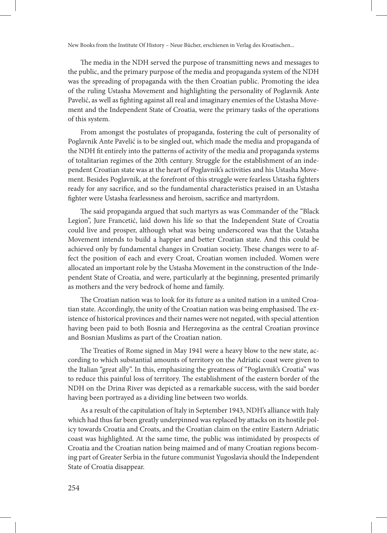The media in the NDH served the purpose of transmitting news and messages to the public, and the primary purpose of the media and propaganda system of the NDH was the spreading of propaganda with the then Croatian public. Promoting the idea of the ruling Ustasha Movement and highlighting the personality of Poglavnik Ante Pavelić, as well as fighting against all real and imaginary enemies of the Ustasha Movement and the Independent State of Croatia, were the primary tasks of the operations of this system.

From amongst the postulates of propaganda, fostering the cult of personality of Poglavnik Ante Pavelić is to be singled out, which made the media and propaganda of the NDH fit entirely into the patterns of activity of the media and propaganda systems of totalitarian regimes of the 20th century. Struggle for the establishment of an independent Croatian state was at the heart of Poglavnik's activities and his Ustasha Movement. Besides Poglavnik, at the forefront of this struggle were fearless Ustasha fighters ready for any sacrifice, and so the fundamental characteristics praised in an Ustasha fighter were Ustasha fearlessness and heroism, sacrifice and martyrdom.

The said propaganda argued that such martyrs as was Commander of the "Black Legion", Jure Francetić, laid down his life so that the Independent State of Croatia could live and prosper, although what was being underscored was that the Ustasha Movement intends to build a happier and better Croatian state. And this could be achieved only by fundamental changes in Croatian society. These changes were to affect the position of each and every Croat, Croatian women included. Women were allocated an important role by the Ustasha Movement in the construction of the Independent State of Croatia, and were, particularly at the beginning, presented primarily as mothers and the very bedrock of home and family.

The Croatian nation was to look for its future as a united nation in a united Croatian state. Accordingly, the unity of the Croatian nation was being emphasised. The existence of historical provinces and their names were not negated, with special attention having been paid to both Bosnia and Herzegovina as the central Croatian province and Bosnian Muslims as part of the Croatian nation.

The Treaties of Rome signed in May 1941 were a heavy blow to the new state, according to which substantial amounts of territory on the Adriatic coast were given to the Italian "great ally". In this, emphasizing the greatness of "Poglavnik's Croatia" was to reduce this painful loss of territory. The establishment of the eastern border of the NDH on the Drina River was depicted as a remarkable success, with the said border having been portrayed as a dividing line between two worlds.

As a result of the capitulation of Italy in September 1943, NDH's alliance with Italy which had thus far been greatly underpinned was replaced by attacks on its hostile policy towards Croatia and Croats, and the Croatian claim on the entire Eastern Adriatic coast was highlighted. At the same time, the public was intimidated by prospects of Croatia and the Croatian nation being maimed and of many Croatian regions becoming part of Greater Serbia in the future communist Yugoslavia should the Independent State of Croatia disappear.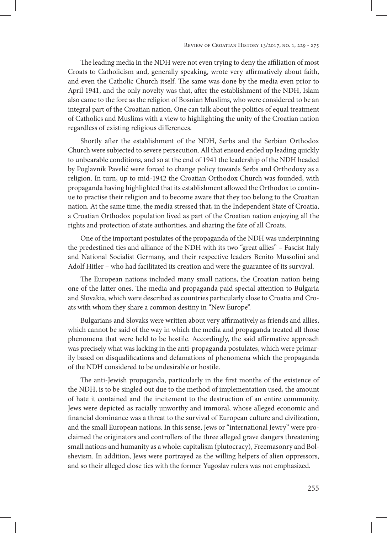The leading media in the NDH were not even trying to deny the affiliation of most Croats to Catholicism and, generally speaking, wrote very affirmatively about faith, and even the Catholic Church itself. The same was done by the media even prior to April 1941, and the only novelty was that, after the establishment of the NDH, Islam also came to the fore as the religion of Bosnian Muslims, who were considered to be an integral part of the Croatian nation. One can talk about the politics of equal treatment of Catholics and Muslims with a view to highlighting the unity of the Croatian nation regardless of existing religious differences.

Shortly after the establishment of the NDH, Serbs and the Serbian Orthodox Church were subjected to severe persecution. All that ensued ended up leading quickly to unbearable conditions, and so at the end of 1941 the leadership of the NDH headed by Poglavnik Pavelić were forced to change policy towards Serbs and Orthodoxy as a religion. In turn, up to mid-1942 the Croatian Orthodox Church was founded, with propaganda having highlighted that its establishment allowed the Orthodox to continue to practise their religion and to become aware that they too belong to the Croatian nation. At the same time, the media stressed that, in the Independent State of Croatia, a Croatian Orthodox population lived as part of the Croatian nation enjoying all the rights and protection of state authorities, and sharing the fate of all Croats.

One of the important postulates of the propaganda of the NDH was underpinning the predestined ties and alliance of the NDH with its two "great allies" – Fascist Italy and National Socialist Germany, and their respective leaders Benito Mussolini and Adolf Hitler – who had facilitated its creation and were the guarantee of its survival.

The European nations included many small nations, the Croatian nation being one of the latter ones. The media and propaganda paid special attention to Bulgaria and Slovakia, which were described as countries particularly close to Croatia and Croats with whom they share a common destiny in "New Europe".

Bulgarians and Slovaks were written about very affirmatively as friends and allies, which cannot be said of the way in which the media and propaganda treated all those phenomena that were held to be hostile. Accordingly, the said affirmative approach was precisely what was lacking in the anti-propaganda postulates, which were primarily based on disqualifications and defamations of phenomena which the propaganda of the NDH considered to be undesirable or hostile.

The anti-Jewish propaganda, particularly in the first months of the existence of the NDH, is to be singled out due to the method of implementation used, the amount of hate it contained and the incitement to the destruction of an entire community. Jews were depicted as racially unworthy and immoral, whose alleged economic and financial dominance was a threat to the survival of European culture and civilization, and the small European nations. In this sense, Jews or "international Jewry" were proclaimed the originators and controllers of the three alleged grave dangers threatening small nations and humanity as a whole: capitalism (plutocracy), Freemasonry and Bolshevism. In addition, Jews were portrayed as the willing helpers of alien oppressors, and so their alleged close ties with the former Yugoslav rulers was not emphasized.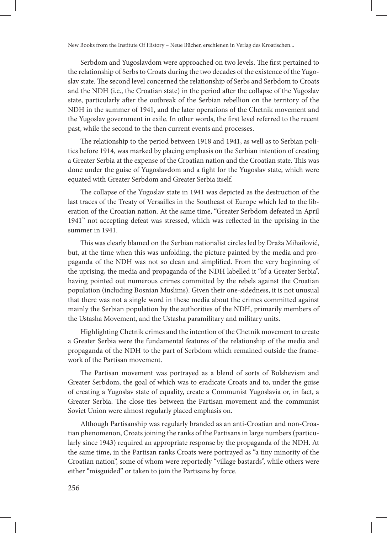Serbdom and Yugoslavdom were approached on two levels. The first pertained to the relationship of Serbs to Croats during the two decades of the existence of the Yugoslav state. The second level concerned the relationship of Serbs and Serbdom to Croats and the NDH (i.e., the Croatian state) in the period after the collapse of the Yugoslav state, particularly after the outbreak of the Serbian rebellion on the territory of the NDH in the summer of 1941, and the later operations of the Chetnik movement and the Yugoslav government in exile. In other words, the first level referred to the recent past, while the second to the then current events and processes.

The relationship to the period between 1918 and 1941, as well as to Serbian politics before 1914, was marked by placing emphasis on the Serbian intention of creating a Greater Serbia at the expense of the Croatian nation and the Croatian state. This was done under the guise of Yugoslavdom and a fight for the Yugoslav state, which were equated with Greater Serbdom and Greater Serbia itself.

The collapse of the Yugoslav state in 1941 was depicted as the destruction of the last traces of the Treaty of Versailles in the Southeast of Europe which led to the liberation of the Croatian nation. At the same time, "Greater Serbdom defeated in April 1941" not accepting defeat was stressed, which was reflected in the uprising in the summer in 1941.

This was clearly blamed on the Serbian nationalist circles led by Draža Mihailović, but, at the time when this was unfolding, the picture painted by the media and propaganda of the NDH was not so clean and simplified. From the very beginning of the uprising, the media and propaganda of the NDH labelled it "of a Greater Serbia", having pointed out numerous crimes committed by the rebels against the Croatian population (including Bosnian Muslims). Given their one-sidedness, it is not unusual that there was not a single word in these media about the crimes committed against mainly the Serbian population by the authorities of the NDH, primarily members of the Ustasha Movement, and the Ustasha paramilitary and military units.

Highlighting Chetnik crimes and the intention of the Chetnik movement to create a Greater Serbia were the fundamental features of the relationship of the media and propaganda of the NDH to the part of Serbdom which remained outside the framework of the Partisan movement.

The Partisan movement was portrayed as a blend of sorts of Bolshevism and Greater Serbdom, the goal of which was to eradicate Croats and to, under the guise of creating a Yugoslav state of equality, create a Communist Yugoslavia or, in fact, a Greater Serbia. The close ties between the Partisan movement and the communist Soviet Union were almost regularly placed emphasis on.

Although Partisanship was regularly branded as an anti-Croatian and non-Croatian phenomenon, Croats joining the ranks of the Partisans in large numbers (particularly since 1943) required an appropriate response by the propaganda of the NDH. At the same time, in the Partisan ranks Croats were portrayed as "a tiny minority of the Croatian nation", some of whom were reportedly "village bastards", while others were either "misguided" or taken to join the Partisans by force.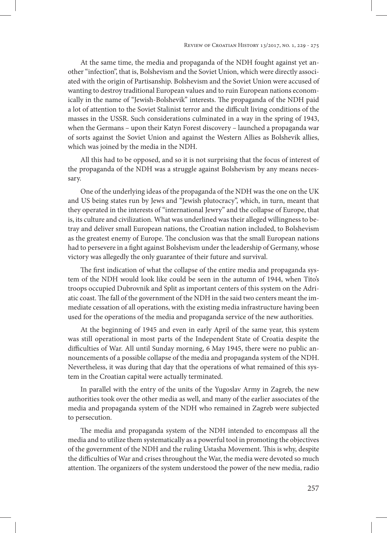At the same time, the media and propaganda of the NDH fought against yet another "infection", that is, Bolshevism and the Soviet Union, which were directly associated with the origin of Partisanship. Bolshevism and the Soviet Union were accused of wanting to destroy traditional European values and to ruin European nations economically in the name of "Jewish-Bolshevik" interests. The propaganda of the NDH paid a lot of attention to the Soviet Stalinist terror and the difficult living conditions of the masses in the USSR. Such considerations culminated in a way in the spring of 1943, when the Germans – upon their Katyn Forest discovery – launched a propaganda war of sorts against the Soviet Union and against the Western Allies as Bolshevik allies, which was joined by the media in the NDH.

All this had to be opposed, and so it is not surprising that the focus of interest of the propaganda of the NDH was a struggle against Bolshevism by any means necessary.

One of the underlying ideas of the propaganda of the NDH was the one on the UK and US being states run by Jews and "Jewish plutocracy", which, in turn, meant that they operated in the interests of "international Jewry" and the collapse of Europe, that is, its culture and civilization. What was underlined was their alleged willingness to betray and deliver small European nations, the Croatian nation included, to Bolshevism as the greatest enemy of Europe. The conclusion was that the small European nations had to persevere in a fight against Bolshevism under the leadership of Germany, whose victory was allegedly the only guarantee of their future and survival.

The first indication of what the collapse of the entire media and propaganda system of the NDH would look like could be seen in the autumn of 1944, when Tito's troops occupied Dubrovnik and Split as important centers of this system on the Adriatic coast. The fall of the government of the NDH in the said two centers meant the immediate cessation of all operations, with the existing media infrastructure having been used for the operations of the media and propaganda service of the new authorities.

At the beginning of 1945 and even in early April of the same year, this system was still operational in most parts of the Independent State of Croatia despite the difficulties of War. All until Sunday morning, 6 May 1945, there were no public announcements of a possible collapse of the media and propaganda system of the NDH. Nevertheless, it was during that day that the operations of what remained of this system in the Croatian capital were actually terminated.

In parallel with the entry of the units of the Yugoslav Army in Zagreb, the new authorities took over the other media as well, and many of the earlier associates of the media and propaganda system of the NDH who remained in Zagreb were subjected to persecution.

The media and propaganda system of the NDH intended to encompass all the media and to utilize them systematically as a powerful tool in promoting the objectives of the government of the NDH and the ruling Ustasha Movement. This is why, despite the difficulties of War and crises throughout the War, the media were devoted so much attention. The organizers of the system understood the power of the new media, radio